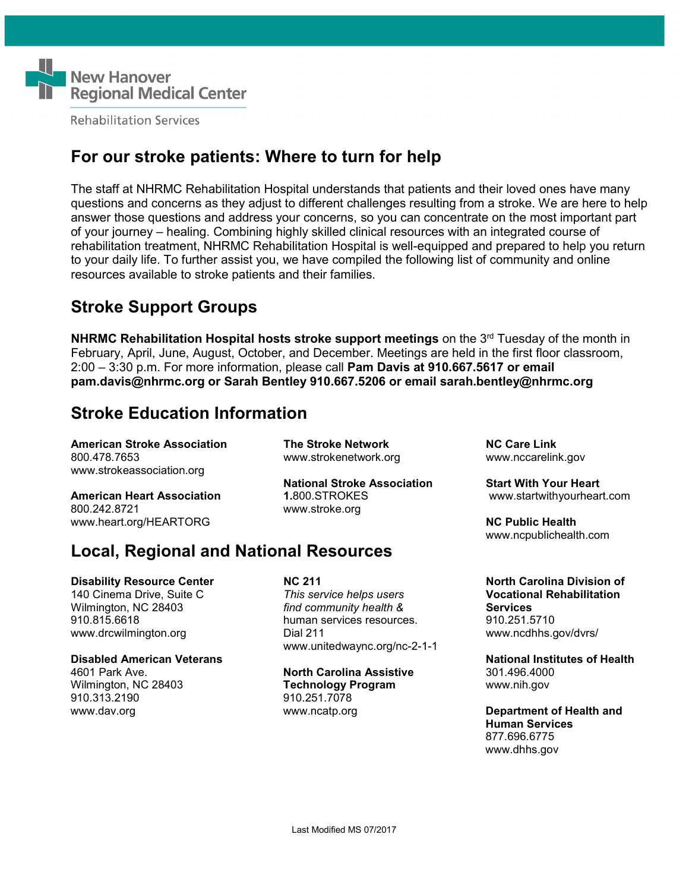

**Rehabilitation Services** 

#### **For our stroke patients: Where to turn for help**

The staff at NHRMC Rehabilitation Hospital understands that patients and their loved ones have many questions and concerns as they adjust to different challenges resulting from a stroke. We are here to help answer those questions and address your concerns, so you can concentrate on the most important part of your journey – healing. Combining highly skilled clinical resources with an integrated course of rehabilitation treatment, NHRMC Rehabilitation Hospital is well-equipped and prepared to help you return to your daily life. To further assist you, we have compiled the following list of community and online resources available to stroke patients and their families.

#### **Stroke Support Groups**

**NHRMC Rehabilitation Hospital hosts stroke support meetings** on the 3<sup>rd</sup> Tuesday of the month in February, April, June, August, October, and December. Meetings are held in the first floor classroom, 2:00 – 3:30 p.m. For more information, please call **Pam Davis at 910.667.5617 or email pam.davis@nhrmc.org or Sarah Bentley 910.667.5206 or email sarah.bentley@nhrmc.org**

#### **Stroke Education Information**

**American Stroke Association**<br> **The Stroke Network**<br>

We are Link<br>
We are the Weather Working<br>
We are the Weather Working<br>
We are the Weather We are we were the weather we are the Strong and the Strong Media of the Strong 800.478.7653 www.strokenetwork.org www.strokeassociation.org

www.stroke.org

**National Stroke Association Start With Your Heart**

www.ncpublichealth.com

#### **American Heart Association 1.800.STROKES** www.startwithyourheart.com<br>800.242.8721 www.stroke.org www.heart.org/HEARTORG **NATION NC Public Health**

### **Local, Regional and National Resources**

www.drcwilmington.org Dial 211

910.313.2190 910.251.7078

140 Cinema Drive, Suite C *This service helps users* **Vocational Rehabilitation**  find community health & 910.815.6618 human services resources. 910.251.5710 www.unitedwaync.org/nc-2-1-1

4601 Park Ave. **North Carolina Assistive** 301.496.4000 Wilmington, NC 28403 **Technology Program** www.nih.gov

**Disability Resource Center NC 211 NO 211 North Carolina Division of 140** Cinema Division of **140** Cinema Drive, Suite C **This service helps users Vocational Rehabilitation** 

**Disabled American Veterans**<br>4601 Park Ave. **North Carolina Assistive** 2014/96:4000

**Department of Health and Human Services**  877.696.6775 www.dhhs.gov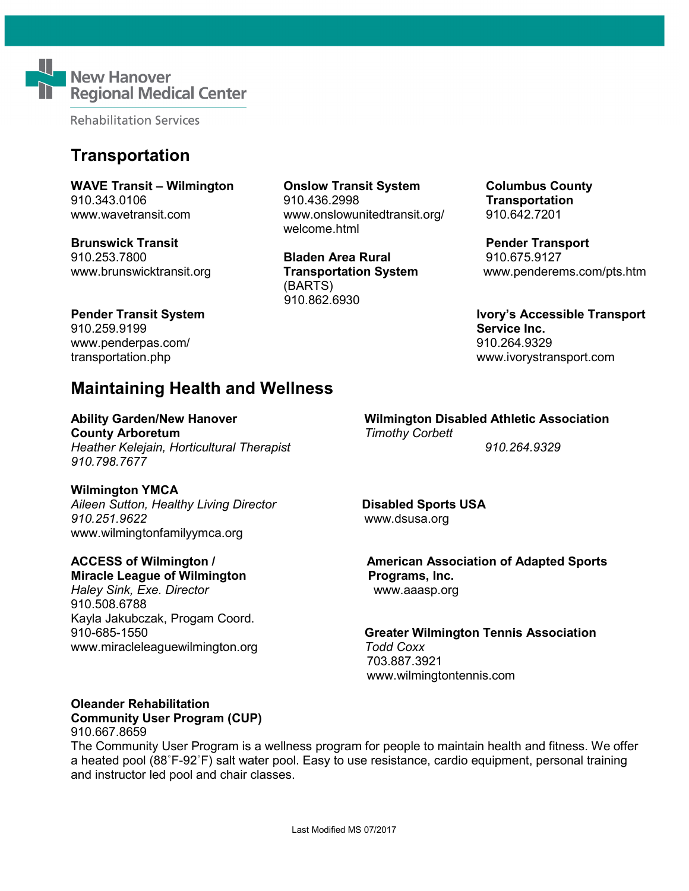

**Rehabilitation Services** 

#### **Transportation**

**WAVE Transit – Wilmington Onslow Transit System Columbus County** 910.343.0106 910.436.2998 **Transportation** www.wavetransit.com www.onslowunitedtransit.org/ 910.642.7201

**Brunswick Transit**<br>
910.253.7800<br> **Bladen Area Rural Pender Transport**<br>
910.675.9127

welcome.html

910.253.7800 **Bladen Area Rural** 910.675.9127 (BARTS) 910.862.6930

www.penderems.com/pts.htm

**Pender Transit System Ivory's Accessible Transport** transportation.php www.ivorystransport.com

## 910.259.9199 **Service Inc.** www.penderpas.com/ 910.264.9329

#### **Maintaining Health and Wellness**

**County Arboretum** *Timothy Corbett Heather Kelejain, Horticultural Therapist 910.264.9329 910.798.7677*

**Wilmington YMCA** *Aileen Sutton, Healthy Living Director* **Disabled Sports USA** www.wilmingtonfamilyymca.org

**Miracle League of Wilmington Programs, Inc.** 

*Haley Sink, Exe. Director* www.aaasp.org 910.508.6788 Kayla Jakubczak, Progam Coord. www.miracleleaguewilmington.org*Todd Coxx*

**Ability Garden/New Hanover Wilmington Disabled Athletic Association**

www.dsusa.org

**ACCESS of Wilmington / American Association of Adapted Sports**

910-685-1550 **Greater Wilmington Tennis Association** 703.887.3921 www.wilmingtontennis.com

#### **Oleander Rehabilitation Community User Program (CUP)**

910.667.8659

The Community User Program is a wellness program for people to maintain health and fitness. We offer a heated pool (88˚F-92˚F) salt water pool. Easy to use resistance, cardio equipment, personal training and instructor led pool and chair classes.